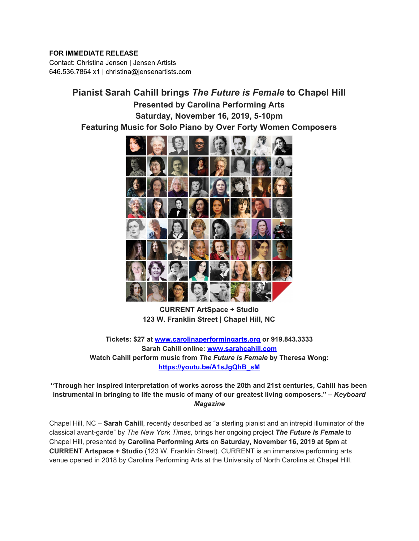## **FOR IMMEDIATE RELEASE**

Contact: Christina Jensen | Jensen Artists 646.536.7864 x1 | christina@jensenartists.com

> **Pianist Sarah Cahill brings** *The Future is Female* **to Chapel Hill Presented by Carolina Performing Arts Saturday, November 16, 2019, 5-10pm Featuring Music for Solo Piano by Over Forty Women Composers**



**CURRENT ArtSpace + Studio 123 W. Franklin Street | Chapel Hill, NC**

**Tickets: \$27 at [www.carolinaperformingarts.org](https://u7061146.ct.sendgrid.net/wf/click?upn=84Em28S1K9SvtzcUtu04Ert7vcRniSDwsTo-2FyplnpECv1U5czDUS7Glhlf7XKN1M_DruDjhchMBr5xQkz3h1qcOnjZc-2BCsAVhraQ7DxYhbA2-2BHLQf-2BHKWaWi2FTM7QHo-2Fd7eCMDRMAhfd2mcWSs-2FpzNW9MmuPwV7rH-2FbDd7DdSSa1YsC2PL6LeTyNThpmXL9fRb-2BCAYpvXf02-2FsG9eNbDjIWAJTunKEwJxmlwBxp-2FhCgTaTfOQjz3JACXrG8PLFw9Xz7jRnouGke2p9jKUOGhlqdPjM7DR3EeG19kP2zOoWgwTqjooDlvSfoIq8l-2FXOuEDbq4vVeCvd3dIs3lMSCIno7hycE6QeDSi0E0yrHErywnJt1rCWZGnpML2FJVEVliBApxShqDlrMbS0aD-2BZ2fekLLLkxJHPQDN98sTxFv8w8-3D) or 919.843.3333 Sarah Cahill online: [www.sarahcahill.com](https://u7061146.ct.sendgrid.net/wf/click?upn=84Em28S1K9SvtzcUtu04EpfC9djm7VrtLYljA3RF76A02mLcqDzIiW-2FunkHjoQN3_DruDjhchMBr5xQkz3h1qcOnjZc-2BCsAVhraQ7DxYhbA2-2BHLQf-2BHKWaWi2FTM7QHo-2Fd7eCMDRMAhfd2mcWSs-2FpzNW9MmuPwV7rH-2FbDd7DdSSa1YsC2PL6LeTyNThpmXL9fRb-2BCAYpvXf02-2FsG9eNbDjIWAJTunKEwJxmlwBxp-2FhCgTaTfOQjz3JACXrG8PLFw9Xz7jRnouGke2p9jKUOGhlp-2BX40-2FzQFraFgeI7z7MDXGc3HLWNlJjymZI1KMBk2K16uFslpmy6AUF9GfoHIMZx-2BAcwWLRK9k-2BrcxShcOjRV-2BgvQRRSDC9a4ucV1EHymSVmyspO-2BgEo4B5tnHgcCTFizjzB4F-2F4yhs6odToarBRmk-3D) Watch Cahill perform music from** *The Future is Female* **by Theresa Wong: [https://youtu.be/A1sJgQhB\\_sM](https://u7061146.ct.sendgrid.net/wf/click?upn=G62jSYfZdO-2F12d8lSllQB-2FiUVgB4KJRJ9YPZS0rhoALZDrduae4qHVn4WbUAVoNu_DruDjhchMBr5xQkz3h1qcOnjZc-2BCsAVhraQ7DxYhbA2-2BHLQf-2BHKWaWi2FTM7QHo-2Fd7eCMDRMAhfd2mcWSs-2FpzNW9MmuPwV7rH-2FbDd7DdSSa1YsC2PL6LeTyNThpmXL9fRb-2BCAYpvXf02-2FsG9eNbDjIWAJTunKEwJxmlwBxp-2FhCgTaTfOQjz3JACXrG8PLFw9Xz7jRnouGke2p9jKUOGhlv0fRUdR03kG-2FMQmi5Tj1h-2BU7g-2BsMQcnDNg15yuYKByHM-2BuOnzpf9ZVIZXuQe01A9CvkH-2BD9xR4aRECrz1CCkLoqjXFTPZdAcPUImz8JmxRMwRAXJ98DlAm6X7z9bBG7P4lLikx0-2BDbca3LfkXaKGeE-3D)**

**"Through her inspired interpretation of works across the 20th and 21st centuries, Cahill has been instrumental in bringing to life the music of many of our greatest living composers." –** *Keyboard Magazine*

Chapel Hill, NC – **Sarah Cahill**, recently described as "a sterling pianist and an intrepid illuminator of the classical avant-garde" by *The New York Times*, brings her ongoing project *The Future is Female* to Chapel Hill, presented by **Carolina Performing Arts** on **Saturday, November 16, 2019 at 5pm** at **CURRENT Artspace + Studio** (123 W. Franklin Street). CURRENT is an immersive performing arts venue opened in 2018 by Carolina Performing Arts at the University of North Carolina at Chapel Hill.